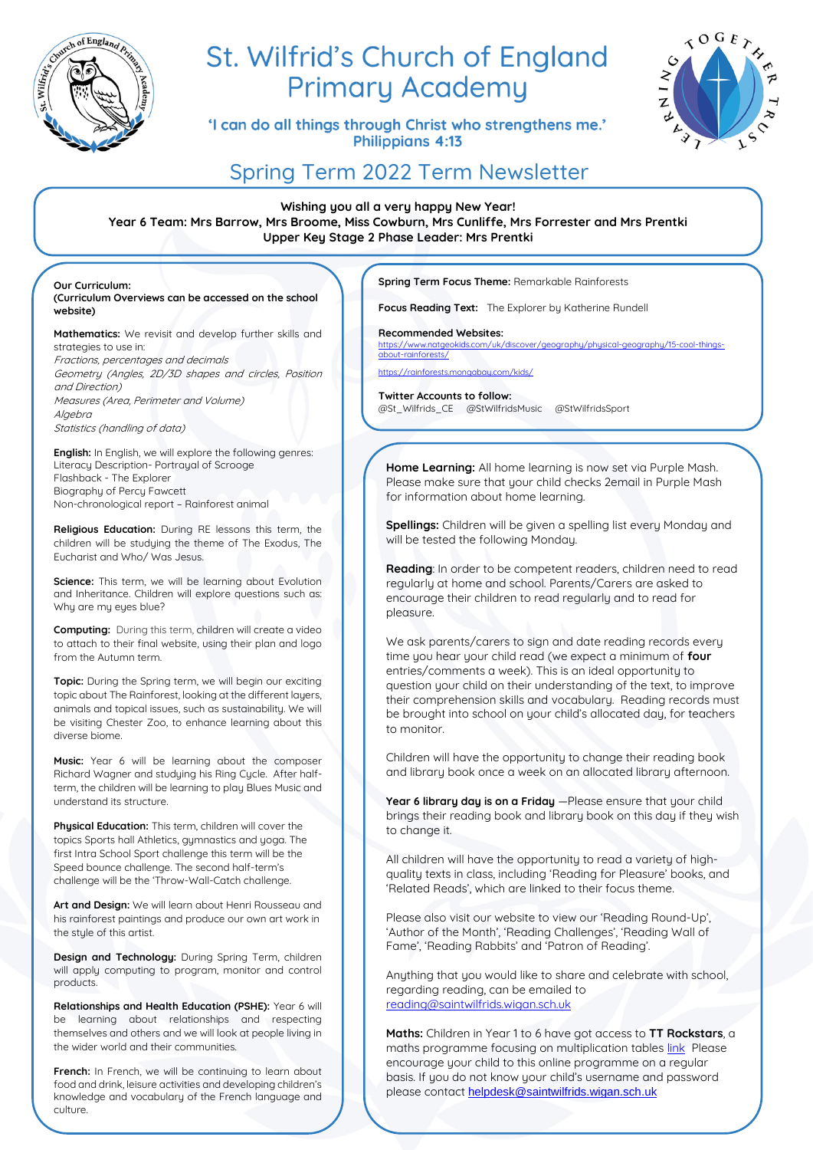

# St. Wilfrid's Church of England **Primary Academy**

'I can do all things through Christ who strengthens me.' Philippians 4:13



# Spring Term 2022 Term Newsletter

**Wishing you all a very happy New Year! Year 6 Team: Mrs Barrow, Mrs Broome, Miss Cowburn, Mrs Cunliffe, Mrs Forrester and Mrs Prentki Upper Key Stage 2 Phase Leader: Mrs Prentki**

**Our Curriculum: (Curriculum Overviews can be accessed on the school website)**

**Mathematics:** We revisit and develop further skills and strategies to use in: Fractions, percentages and decimals Geometry (Angles, 2D/3D shapes and circles, Position and Direction)

Measures (Area, Perimeter and Volume) Algebra Statistics (handling of data)

**English:** In English, we will explore the following genres: Literacy Description- Portrayal of Scrooge Flashback - The Explorer Biography of Percy Fawcett Non-chronological report – Rainforest animal

**Religious Education:** During RE lessons this term, the children will be studying the theme of The Exodus, The Eucharist and Who/ Was Jesus.

**Science:** This term, we will be learning about Evolution and Inheritance. Children will explore questions such as: Why are my eyes blue?

**Computing:** During this term, children will create a video to attach to their final website, using their plan and logo from the Autumn term.

**Topic:** During the Spring term, we will begin our exciting topic about The Rainforest, looking at the different layers. animals and topical issues, such as sustainability. We will be visiting Chester Zoo, to enhance learning about this diverse biome.

**Music:** Year 6 will be learning about the composer Richard Wagner and studying his Ring Cycle. After halfterm, the children will be learning to play Blues Music and understand its structure.

**Physical Education:** This term, children will cover the topics Sports hall Athletics, gymnastics and yoga. The first Intra School Sport challenge this term will be the Speed bounce challenge. The second half-term's challenge will be the 'Throw-Wall-Catch challenge.

**Art and Design:** We will learn about Henri Rousseau and his rainforest paintings and produce our own art work in the style of this artist.

**Design and Technology:** During Spring Term, children will apply computing to program, monitor and control products.

**Relationships and Health Education (PSHE):** Year 6 will be learning about relationships and respecting themselves and others and we will look at people living in the wider world and their communities.

French: In French, we will be continuing to learn about food and drink, leisure activities and developing children's knowledge and vocabulary of the French language and culture.

**Spring Term Focus Theme:** Remarkable Rainforests

**Focus Reading Text:** The Explorer by Katherine Rundell

**Recommended Websites:**

[https://www.natgeokids.com/uk/discover/geography/physical-geography/15-cool-things](https://www.natgeokids.com/uk/discover/geography/physical-geography/15-cool-things-about-rainforests/) $ut$ -rainforests/

<https://rainforests.mongabay.com/kids/>

**Twitter Accounts to follow:**  @St\_Wilfrids\_CE @StWilfridsMusic @StWilfridsSport

**Home Learning:** All home learning is now set via Purple Mash. Please make sure that your child checks 2email in Purple Mash for information about home learning.

**Spellings:** Children will be given a spelling list every Monday and will be tested the following Monday.

**Reading**: In order to be competent readers, children need to read regularly at home and school. Parents/Carers are asked to encourage their children to read regularly and to read for pleasure.

We ask parents/carers to sign and date reading records every time you hear your child read (we expect a minimum of **four** entries/comments a week). This is an ideal opportunity to question your child on their understanding of the text, to improve their comprehension skills and vocabulary. Reading records must be brought into school on your child's allocated day, for teachers to monitor.

Children will have the opportunity to change their reading book and library book once a week on an allocated library afternoon.

**Year 6 library day is on a Friday** - Please ensure that your child brings their reading book and library book on this day if they wish to change it.

All children will have the opportunity to read a variety of highquality texts in class, including 'Reading for Pleasure' books, and 'Related Reads', which are linked to their focus theme.

Please also visit our website to view our 'Reading Round-Up', 'Author of the Month', 'Reading Challenges', 'Reading Wall of Fame', 'Reading Rabbits' and 'Patron of Reading'.

Anything that you would like to share and celebrate with school, regarding reading, can be emailed to [reading@saintwilfrids.wigan.sch.uk](mailto:reading@saintwilfrids.wigan.sch.uk)

**Maths:** Children in Year 1 to 6 have got access to **TT Rockstars**, a maths programme focusing on multiplication table[s link](https://play.ttrockstars.com/auth/school/student) Please encourage your child to this online programme on a regular basis. If you do not know your child's username and password please contact [helpdesk@saintwilfrids.wigan.sch.uk](mailto:helpdesk@saintwilfrids.wigan.sch.uk)